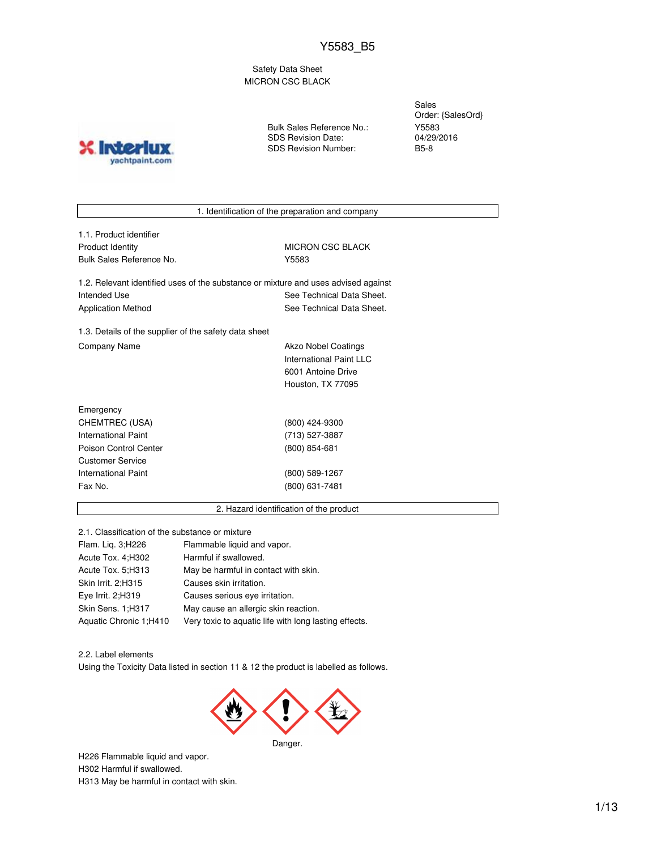Safety Data Sheet MICRON CSC BLACK

**X** Inter yachtpaint.com Bulk Sales Reference No.: SDS Revision Date: SDS Revision Number:

Sales Order: {SalesOrd} Y5583 04/29/2016 B5-8

1. Identification of the preparation and company

1.1. Product identifier Product Identity **MICRON CSC BLACK** Bulk Sales Reference No. **Y5583** 

1.2. Relevant identified uses of the substance or mixture and uses advised against Intended Use **See Technical Data Sheet.** See Technical Data Sheet. Application Method See Technical Data Sheet.

1.3. Details of the supplier of the safety data sheet Company Name **Akzo Nobel Coatings** 

International Paint LLC 6001 Antoine Drive Houston, TX 77095

| Emergency             |                 |
|-----------------------|-----------------|
| CHEMTREC (USA)        | (800) 424-9300  |
| International Paint   | (713) 527-3887  |
| Poison Control Center | $(800)$ 854-681 |
| Customer Service      |                 |
| International Paint   | (800) 589-1267  |
| Fax No.               | (800) 631-7481  |
|                       |                 |

### 2. Hazard identification of the product

2.1. Classification of the substance or mixture

| Flam. Lig. 3; H226      | Flammable liquid and vapor.                           |
|-------------------------|-------------------------------------------------------|
| Acute Tox. 4; H302      | Harmful if swallowed.                                 |
| Acute Tox. 5:H313       | May be harmful in contact with skin.                  |
| Skin Irrit. 2;H315      | Causes skin irritation.                               |
| Eye Irrit. 2;H319       | Causes serious eye irritation.                        |
| Skin Sens. 1;H317       | May cause an allergic skin reaction.                  |
| Aquatic Chronic 1; H410 | Very toxic to aquatic life with long lasting effects. |

2.2. Label elements

Using the Toxicity Data listed in section 11 & 12 the product is labelled as follows.



H226 Flammable liquid and vapor. H302 Harmful if swallowed. H313 May be harmful in contact with skin.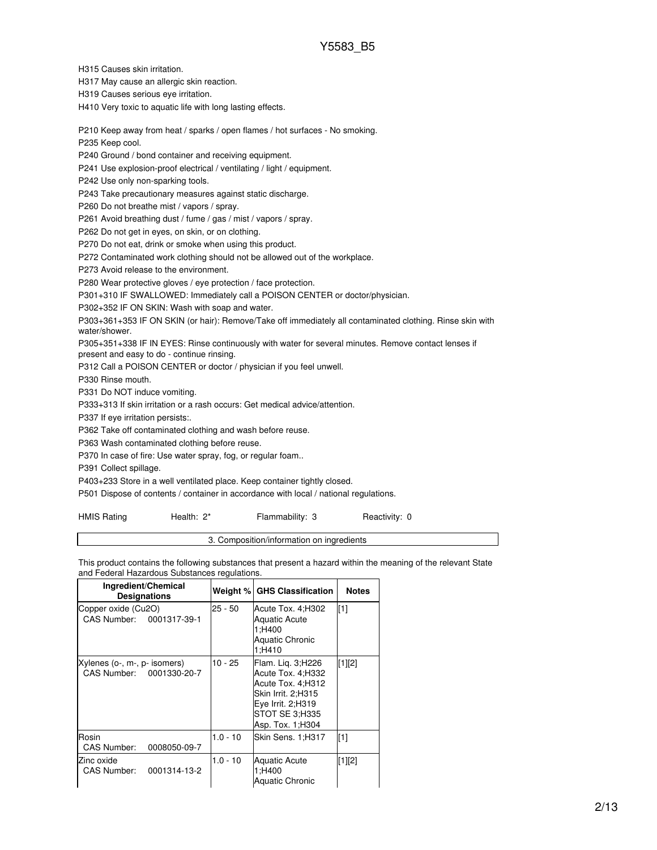H315 Causes skin irritation.

H317 May cause an allergic skin reaction.

H319 Causes serious eye irritation.

H410 Very toxic to aquatic life with long lasting effects.

P210 Keep away from heat / sparks / open flames / hot surfaces - No smoking.

P235 Keep cool.

P240 Ground / bond container and receiving equipment.

P241 Use explosion-proof electrical / ventilating / light / equipment.

P242 Use only non-sparking tools.

P243 Take precautionary measures against static discharge.

P260 Do not breathe mist / vapors / spray.

P261 Avoid breathing dust / fume / gas / mist / vapors / spray.

P262 Do not get in eyes, on skin, or on clothing.

P270 Do not eat, drink or smoke when using this product.

P272 Contaminated work clothing should not be allowed out of the workplace.

P273 Avoid release to the environment.

P280 Wear protective gloves / eye protection / face protection.

P301+310 IF SWALLOWED: Immediately call a POISON CENTER or doctor/physician.

P302+352 IF ON SKIN: Wash with soap and water.

P303+361+353 IF ON SKIN (or hair): Remove/Take off immediately all contaminated clothing. Rinse skin with water/shower.

P305+351+338 IF IN EYES: Rinse continuously with water for several minutes. Remove contact lenses if

present and easy to do - continue rinsing.

P312 Call a POISON CENTER or doctor / physician if you feel unwell.

P330 Rinse mouth.

P331 Do NOT induce vomiting.

P333+313 If skin irritation or a rash occurs: Get medical advice/attention.

P337 If eye irritation persists:.

P362 Take off contaminated clothing and wash before reuse.

P363 Wash contaminated clothing before reuse.

P370 In case of fire: Use water spray, fog, or regular foam..

P391 Collect spillage.

P403+233 Store in a well ventilated place. Keep container tightly closed.

P501 Dispose of contents / container in accordance with local / national regulations.

| <b>HMIS Rating</b> | Health: 2* | Flammability: 3 | Reactivity: 0 |
|--------------------|------------|-----------------|---------------|
|                    |            |                 |               |

3. Composition/information on ingredients

This product contains the following substances that present a hazard within the meaning of the relevant State and Federal Hazardous Substances regulations.

| Ingredient/Chemical<br><b>Designations</b>               |            | <b>Weight % GHS Classification</b>                                                                                                              | <b>Notes</b> |
|----------------------------------------------------------|------------|-------------------------------------------------------------------------------------------------------------------------------------------------|--------------|
| Copper oxide (Cu2O)<br>CAS Number: 0001317-39-1          | 25 - 50    | Acute Tox. 4;H302<br><b>Aquatic Acute</b><br>1:H400<br><b>Aquatic Chronic</b><br>1:H410                                                         | [1]          |
| Xylenes (o-, m-, p- isomers)<br>CAS Number: 0001330-20-7 | 10 - 25    | Flam. Lig. 3;H226<br>Acute Tox. 4; H332<br>Acute Tox. 4; H312<br>Skin Irrit. 2:H315<br>Eve Irrit. 2:H319<br>STOT SE 3:H335<br>Asp. Tox. 1; H304 | $[1][2]$     |
| Rosin<br><b>CAS Number:</b><br>0008050-09-7              | $1.0 - 10$ | Skin Sens. 1:H317                                                                                                                               | [1]          |
| Zinc oxide<br>CAS Number:<br>0001314-13-2                | $1.0 - 10$ | Aquatic Acute<br>1;H400<br><b>Aquatic Chronic</b>                                                                                               | [1][2]       |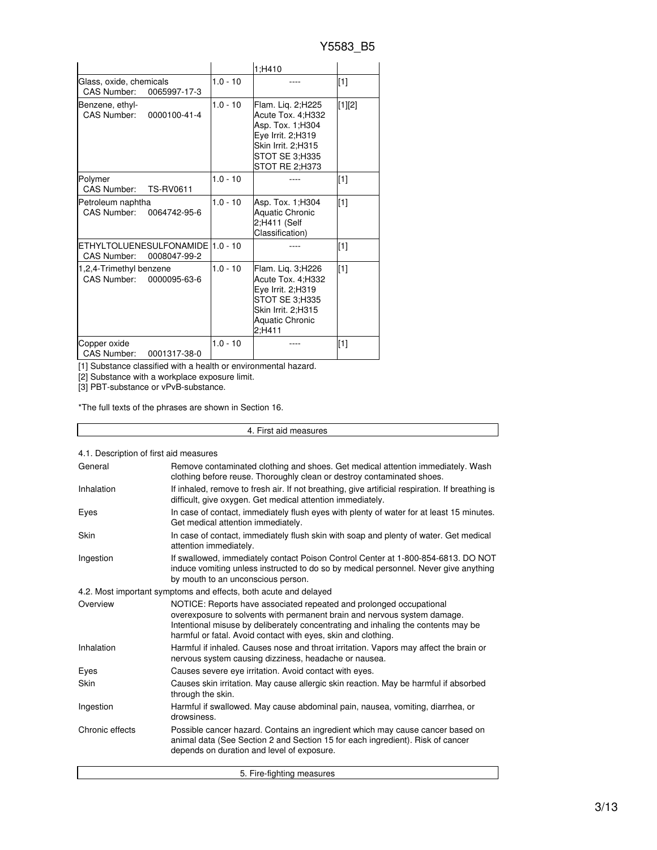|                                                                   |            | 1;H410                                                                                                                                    |        |
|-------------------------------------------------------------------|------------|-------------------------------------------------------------------------------------------------------------------------------------------|--------|
| Glass, oxide, chemicals<br>CAS Number:<br>0065997-17-3            | $1.0 - 10$ |                                                                                                                                           | $[1]$  |
| Benzene, ethyl-<br>CAS Number:<br>0000100-41-4                    | $1.0 - 10$ | Flam. Liq. 2;H225<br>Acute Tox. 4;H332<br>Asp. Tox. 1;H304<br>Eye Irrit. 2;H319<br>Skin Irrit. 2:H315<br>STOT SE 3;H335<br>STOT RE 2;H373 | [1][2] |
| Polymer<br><b>CAS Number:</b><br><b>TS-RV0611</b>                 | $1.0 - 10$ |                                                                                                                                           | $[1]$  |
| Petroleum naphtha<br>CAS Number:<br>0064742-95-6                  | $1.0 - 10$ | Asp. Tox. 1;H304<br><b>Aquatic Chronic</b><br>2;H411 (Self<br>Classification)                                                             | [1]    |
| ETHYLTOLUENESULFONAMIDE   1.0 - 10<br>CAS Number:<br>0008047-99-2 |            |                                                                                                                                           | $[1]$  |
| 1,2,4-Trimethyl benzene<br>CAS Number: 0000095-63-6               | $1.0 - 10$ | Flam. Lig. 3;H226<br>Acute Tox. 4;H332<br>Eye Irrit. 2:H319<br>STOT SE 3;H335<br>Skin Irrit. 2;H315<br><b>Aquatic Chronic</b><br>2:H411   | [1]    |
| Copper oxide<br><b>CAS Number:</b><br>0001317-38-0                | $1.0 - 10$ |                                                                                                                                           | $[1]$  |

[1] Substance classified with a health or environmental hazard.

[2] Substance with a workplace exposure limit.

[3] PBT-substance or vPvB-substance.

\*The full texts of the phrases are shown in Section 16.

4. First aid measures

|  |  |  |  |  |  | 4.1. Description of first aid measures |  |
|--|--|--|--|--|--|----------------------------------------|--|
|--|--|--|--|--|--|----------------------------------------|--|

| General         | Remove contaminated clothing and shoes. Get medical attention immediately. Wash<br>clothing before reuse. Thoroughly clean or destroy contaminated shoes.                                                                                                                                             |
|-----------------|-------------------------------------------------------------------------------------------------------------------------------------------------------------------------------------------------------------------------------------------------------------------------------------------------------|
| Inhalation      | If inhaled, remove to fresh air. If not breathing, give artificial respiration. If breathing is<br>difficult, give oxygen. Get medical attention immediately.                                                                                                                                         |
| Eyes            | In case of contact, immediately flush eyes with plenty of water for at least 15 minutes.<br>Get medical attention immediately.                                                                                                                                                                        |
| Skin            | In case of contact, immediately flush skin with soap and plenty of water. Get medical<br>attention immediately.                                                                                                                                                                                       |
| Ingestion       | If swallowed, immediately contact Poison Control Center at 1-800-854-6813. DO NOT<br>induce vomiting unless instructed to do so by medical personnel. Never give anything<br>by mouth to an unconscious person.                                                                                       |
|                 | 4.2. Most important symptoms and effects, both acute and delayed                                                                                                                                                                                                                                      |
| Overview        | NOTICE: Reports have associated repeated and prolonged occupational<br>overexposure to solvents with permanent brain and nervous system damage.<br>Intentional misuse by deliberately concentrating and inhaling the contents may be<br>harmful or fatal. Avoid contact with eyes, skin and clothing. |
| Inhalation      | Harmful if inhaled. Causes nose and throat irritation. Vapors may affect the brain or<br>nervous system causing dizziness, headache or nausea.                                                                                                                                                        |
| Eyes            | Causes severe eve irritation. Avoid contact with eyes.                                                                                                                                                                                                                                                |
| Skin            | Causes skin irritation. May cause allergic skin reaction. May be harmful if absorbed<br>through the skin.                                                                                                                                                                                             |
| Ingestion       | Harmful if swallowed. May cause abdominal pain, nausea, vomiting, diarrhea, or<br>drowsiness.                                                                                                                                                                                                         |
| Chronic effects | Possible cancer hazard. Contains an ingredient which may cause cancer based on<br>animal data (See Section 2 and Section 15 for each ingredient). Risk of cancer<br>depends on duration and level of exposure.                                                                                        |
|                 | 5. Fire-fighting measures                                                                                                                                                                                                                                                                             |

5. Fire-fighting measures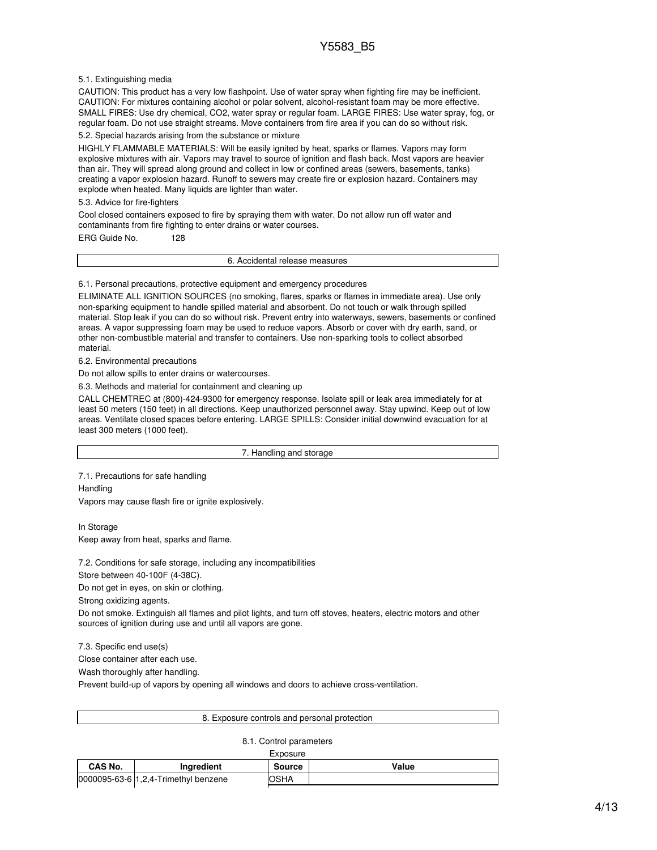### 5.1. Extinguishing media

CAUTION: This product has a very low flashpoint. Use of water spray when fighting fire may be inefficient. CAUTION: For mixtures containing alcohol or polar solvent, alcohol-resistant foam may be more effective. SMALL FIRES: Use dry chemical, CO2, water spray or regular foam. LARGE FIRES: Use water spray, fog, or regular foam. Do not use straight streams. Move containers from fire area if you can do so without risk.

### 5.2. Special hazards arising from the substance or mixture

HIGHLY FLAMMABLE MATERIALS: Will be easily ignited by heat, sparks or flames. Vapors may form explosive mixtures with air. Vapors may travel to source of ignition and flash back. Most vapors are heavier than air. They will spread along ground and collect in low or confined areas (sewers, basements, tanks) creating a vapor explosion hazard. Runoff to sewers may create fire or explosion hazard. Containers may explode when heated. Many liquids are lighter than water.

5.3. Advice for fire-fighters

Cool closed containers exposed to fire by spraying them with water. Do not allow run off water and contaminants from fire fighting to enter drains or water courses.

ERG Guide No. 128

6. Accidental release measures

6.1. Personal precautions, protective equipment and emergency procedures

ELIMINATE ALL IGNITION SOURCES (no smoking, flares, sparks or flames in immediate area). Use only non-sparking equipment to handle spilled material and absorbent. Do not touch or walk through spilled material. Stop leak if you can do so without risk. Prevent entry into waterways, sewers, basements or confined areas. A vapor suppressing foam may be used to reduce vapors. Absorb or cover with dry earth, sand, or other non-combustible material and transfer to containers. Use non-sparking tools to collect absorbed material.

6.2. Environmental precautions

Do not allow spills to enter drains or watercourses.

6.3. Methods and material for containment and cleaning up

CALL CHEMTREC at (800)-424-9300 for emergency response. Isolate spill or leak area immediately for at least 50 meters (150 feet) in all directions. Keep unauthorized personnel away. Stay upwind. Keep out of low areas. Ventilate closed spaces before entering. LARGE SPILLS: Consider initial downwind evacuation for at least 300 meters (1000 feet).

7. Handling and storage

7.1. Precautions for safe handling

**Handling** 

Vapors may cause flash fire or ignite explosively.

In Storage Keep away from heat, sparks and flame.

7.2. Conditions for safe storage, including any incompatibilities

Store between 40-100F (4-38C).

Do not get in eyes, on skin or clothing.

Strong oxidizing agents.

Do not smoke. Extinguish all flames and pilot lights, and turn off stoves, heaters, electric motors and other sources of ignition during use and until all vapors are gone.

7.3. Specific end use(s)

Close container after each use.

Wash thoroughly after handling.

Prevent build-up of vapors by opening all windows and doors to achieve cross-ventilation.

|--|

#### 8.1. Control parameters

| CAS No. | <b>Inaredient</b>                    | <b>Source</b> | Value |
|---------|--------------------------------------|---------------|-------|
|         | 0000095-63-6 1.2.4-Trimethyl benzene | <b>OSHA</b>   |       |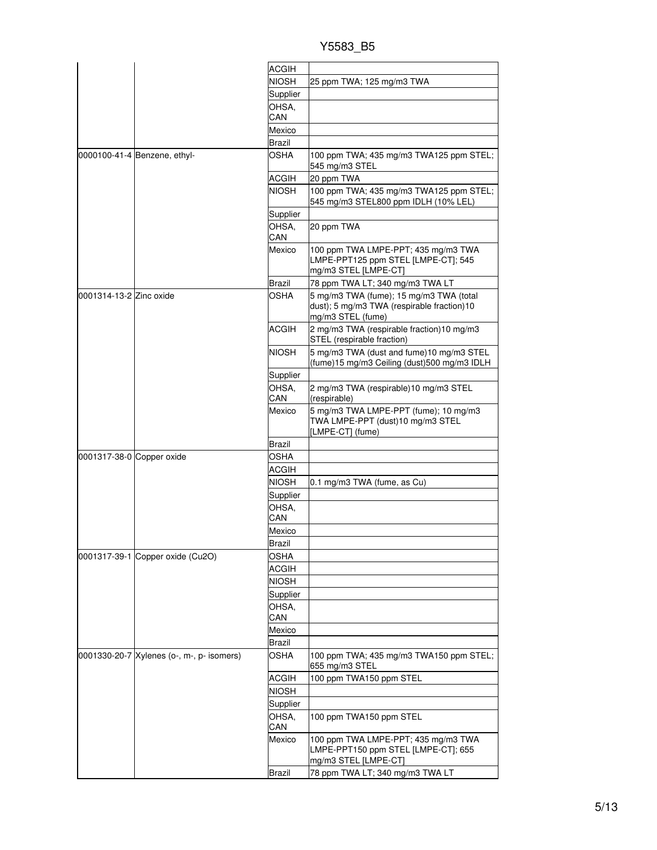| Y5583 B5 |
|----------|
|          |

|                           |                                           | <b>ACGIH</b>            |                                                                                                            |
|---------------------------|-------------------------------------------|-------------------------|------------------------------------------------------------------------------------------------------------|
|                           |                                           | <b>NIOSH</b>            | 25 ppm TWA; 125 mg/m3 TWA                                                                                  |
|                           |                                           | Supplier                |                                                                                                            |
|                           |                                           | OHSA,                   |                                                                                                            |
|                           |                                           | CAN                     |                                                                                                            |
|                           |                                           | Mexico                  |                                                                                                            |
|                           |                                           | <b>Brazil</b>           |                                                                                                            |
|                           | 0000100-41-4 Benzene, ethyl-              | <b>OSHA</b>             | 100 ppm TWA; 435 mg/m3 TWA125 ppm STEL;<br>545 mg/m3 STEL                                                  |
|                           |                                           | <b>ACGIH</b>            | 20 ppm TWA                                                                                                 |
|                           |                                           | <b>NIOSH</b>            | 100 ppm TWA; 435 mg/m3 TWA125 ppm STEL;<br>545 mg/m3 STEL800 ppm IDLH (10% LEL)                            |
|                           |                                           | Supplier                |                                                                                                            |
|                           |                                           | OHSA,<br>CAN            | 20 ppm TWA                                                                                                 |
|                           |                                           | Mexico                  | 100 ppm TWA LMPE-PPT; 435 mg/m3 TWA<br>LMPE-PPT125 ppm STEL [LMPE-CT]; 545<br>mg/m3 STEL [LMPE-CT]         |
|                           |                                           | Brazil                  | 78 ppm TWA LT; 340 mg/m3 TWA LT                                                                            |
| 0001314-13-2 Zinc oxide   |                                           | OSHA                    | 5 mg/m3 TWA (fume); 15 mg/m3 TWA (total<br>dust); 5 mg/m3 TWA (respirable fraction)10<br>mg/m3 STEL (fume) |
|                           |                                           | <b>ACGIH</b>            | 2 mg/m3 TWA (respirable fraction)10 mg/m3<br>STEL (respirable fraction)                                    |
|                           |                                           | <b>NIOSH</b>            | 5 mg/m3 TWA (dust and fume) 10 mg/m3 STEL<br>(fume)15 mg/m3 Ceiling (dust)500 mg/m3 IDLH                   |
|                           |                                           | Supplier                |                                                                                                            |
|                           |                                           | OHSA.<br>CAN            | 2 mg/m3 TWA (respirable)10 mg/m3 STEL<br>(respirable)                                                      |
|                           |                                           | Mexico                  | 5 mg/m3 TWA LMPE-PPT (fume); 10 mg/m3<br>TWA LMPE-PPT (dust)10 mg/m3 STEL<br>[LMPE-CT] (fume)              |
|                           |                                           | Brazil                  |                                                                                                            |
| 0001317-38-0 Copper oxide |                                           | OSHA                    |                                                                                                            |
|                           |                                           | ACGIH                   |                                                                                                            |
|                           |                                           | <b>NIOSH</b>            | 0.1 mg/m3 TWA (fume, as Cu)                                                                                |
|                           |                                           | Supplier                |                                                                                                            |
|                           |                                           | OHSA,                   |                                                                                                            |
|                           |                                           | CAN                     |                                                                                                            |
|                           |                                           | Mexico                  |                                                                                                            |
|                           |                                           | <b>Brazil</b>           |                                                                                                            |
|                           | 0001317-39-1 Copper oxide (Cu2O)          | <b>OSHA</b>             |                                                                                                            |
|                           |                                           | <b>ACGIH</b>            |                                                                                                            |
|                           |                                           | <b>NIOSH</b>            |                                                                                                            |
|                           |                                           | Supplier                |                                                                                                            |
|                           |                                           | OHSA,<br>CAN            |                                                                                                            |
|                           |                                           |                         |                                                                                                            |
|                           |                                           | Mexico<br><b>Brazil</b> |                                                                                                            |
|                           | 0001330-20-7 Xylenes (o-, m-, p- isomers) | OSHA                    | 100 ppm TWA; 435 mg/m3 TWA150 ppm STEL;<br>655 mg/m3 STEL                                                  |
|                           |                                           | <b>ACGIH</b>            | 100 ppm TWA150 ppm STEL                                                                                    |
|                           |                                           | <b>NIOSH</b>            |                                                                                                            |
|                           |                                           | Supplier                |                                                                                                            |
|                           |                                           | OHSA,                   | 100 ppm TWA150 ppm STEL                                                                                    |
|                           |                                           | CAN                     |                                                                                                            |
|                           |                                           | Mexico                  | 100 ppm TWA LMPE-PPT; 435 mg/m3 TWA<br>LMPE-PPT150 ppm STEL [LMPE-CT]; 655<br>mg/m3 STEL [LMPE-CT]         |
|                           |                                           | Brazil                  | 78 ppm TWA LT; 340 mg/m3 TWA LT                                                                            |
|                           |                                           |                         |                                                                                                            |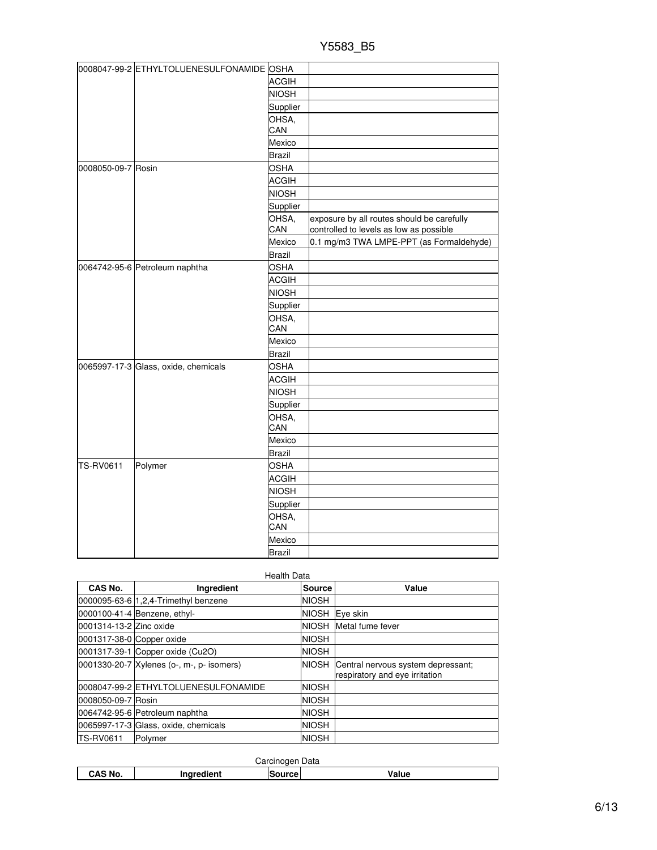| 0008047-99-2 ETHYLTOLUENESULFONAMIDE OSHA<br><b>ACGIH</b><br><b>NIOSH</b><br>Supplier |  |
|---------------------------------------------------------------------------------------|--|
|                                                                                       |  |
|                                                                                       |  |
|                                                                                       |  |
|                                                                                       |  |
| OHSA,                                                                                 |  |
| CAN                                                                                   |  |
| Mexico                                                                                |  |
| <b>Brazil</b>                                                                         |  |
| <b>OSHA</b><br>0008050-09-7 Rosin                                                     |  |
| <b>ACGIH</b>                                                                          |  |
| <b>NIOSH</b>                                                                          |  |
| Supplier                                                                              |  |
| OHSA,<br>exposure by all routes should be carefully                                   |  |
| CAN<br>controlled to levels as low as possible                                        |  |
| Mexico<br>0.1 mg/m3 TWA LMPE-PPT (as Formaldehyde)                                    |  |
| <b>Brazil</b>                                                                         |  |
| <b>OSHA</b><br>0064742-95-6 Petroleum naphtha                                         |  |
| <b>ACGIH</b>                                                                          |  |
| <b>NIOSH</b>                                                                          |  |
| Supplier                                                                              |  |
| OHSA,<br>CAN                                                                          |  |
| Mexico                                                                                |  |
| <b>Brazil</b>                                                                         |  |
| 0065997-17-3 Glass, oxide, chemicals<br><b>OSHA</b>                                   |  |
| <b>ACGIH</b>                                                                          |  |
| <b>NIOSH</b>                                                                          |  |
| Supplier                                                                              |  |
| OHSA,                                                                                 |  |
| CAN                                                                                   |  |
| Mexico                                                                                |  |
| <b>Brazil</b>                                                                         |  |
| TS-RV0611<br>Polymer<br><b>OSHA</b>                                                   |  |
| <b>ACGIH</b>                                                                          |  |
| <b>NIOSH</b>                                                                          |  |
| Supplier                                                                              |  |
| OHSA,<br>CAN                                                                          |  |
| Mexico                                                                                |  |
| <b>Brazil</b>                                                                         |  |

|                           | <b>Health Data</b>                        |              |                                                                      |  |  |  |
|---------------------------|-------------------------------------------|--------------|----------------------------------------------------------------------|--|--|--|
| CAS No.                   | Ingredient                                | Source       | Value                                                                |  |  |  |
|                           | 0000095-63-6 1.2.4-Trimethyl benzene      | <b>NIOSH</b> |                                                                      |  |  |  |
|                           | 0000100-41-4 Benzene, ethyl-              |              | NIOSH Eye skin                                                       |  |  |  |
| 0001314-13-2 Zinc oxide   |                                           |              | NIOSH Metal fume fever                                               |  |  |  |
| 0001317-38-0 Copper oxide |                                           | <b>NIOSH</b> |                                                                      |  |  |  |
|                           | 0001317-39-1 Copper oxide (Cu2O)          | <b>NIOSH</b> |                                                                      |  |  |  |
|                           | 0001330-20-7 Xylenes (o-, m-, p- isomers) | <b>NIOSH</b> | Central nervous system depressant;<br>respiratory and eye irritation |  |  |  |
|                           | 0008047-99-2 ETHYLTOLUENESULFONAMIDE      | <b>NIOSH</b> |                                                                      |  |  |  |
| 0008050-09-7 Rosin        |                                           | <b>NIOSH</b> |                                                                      |  |  |  |
|                           | 0064742-95-6 Petroleum naphtha            | <b>NIOSH</b> |                                                                      |  |  |  |
|                           | 0065997-17-3 Glass, oxide, chemicals      | <b>NIOSH</b> |                                                                      |  |  |  |
| <b>ITS-RV0611</b>         | Polymer                                   | <b>NIOSH</b> |                                                                      |  |  |  |

| Carcinogen Data |            |               |       |  |
|-----------------|------------|---------------|-------|--|
| CAS No.         | Ingredient | <b>Source</b> | Value |  |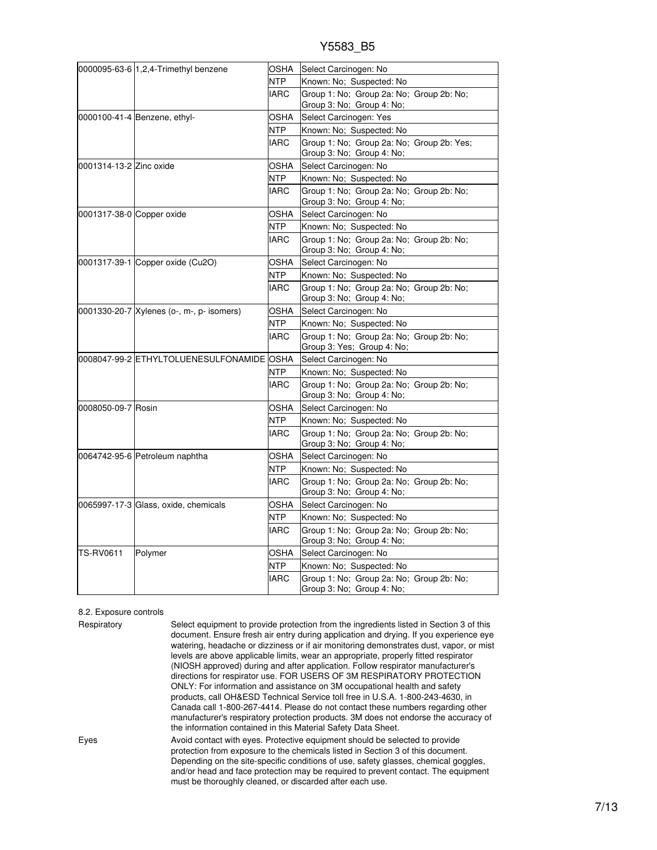|  |  | Y5583 B5 |  |
|--|--|----------|--|
|  |  |          |  |

|                           | 0000095-63-6 1,2,4-Trimethyl benzene      | OSHA        | Select Carcinogen: No                                                  |
|---------------------------|-------------------------------------------|-------------|------------------------------------------------------------------------|
|                           |                                           | <b>NTP</b>  | Known: No; Suspected: No                                               |
|                           |                                           | <b>IARC</b> | Group 1: No; Group 2a: No; Group 2b: No;                               |
|                           |                                           |             | Group 3: No; Group 4: No;                                              |
|                           | 0000100-41-4 Benzene, ethyl-              | OSHA        | Select Carcinogen: Yes                                                 |
|                           |                                           | NTP         | Known: No; Suspected: No                                               |
|                           |                                           | <b>IARC</b> | Group 1: No; Group 2a: No; Group 2b: Yes;                              |
|                           |                                           |             | Group 3: No; Group 4: No;                                              |
| 0001314-13-2 Zinc oxide   |                                           | OSHA        | Select Carcinogen: No                                                  |
|                           |                                           | <b>NTP</b>  | Known: No; Suspected: No                                               |
|                           |                                           | <b>IARC</b> | Group 1: No; Group 2a: No; Group 2b: No;<br>Group 3: No; Group 4: No;  |
| 0001317-38-0 Copper oxide |                                           | OSHA        | Select Carcinogen: No                                                  |
|                           |                                           | NTP         | Known: No; Suspected: No                                               |
|                           |                                           | <b>IARC</b> | Group 1: No; Group 2a: No; Group 2b: No;                               |
|                           |                                           |             | Group 3: No; Group 4: No;                                              |
|                           | 0001317-39-1 Copper oxide (Cu2O)          | OSHA        | Select Carcinogen: No                                                  |
|                           |                                           | NTP.        | Known: No; Suspected: No                                               |
|                           |                                           | <b>IARC</b> | Group 1: No; Group 2a: No; Group 2b: No;                               |
|                           |                                           |             | Group 3: No; Group 4: No;                                              |
|                           | 0001330-20-7 Xylenes (o-, m-, p- isomers) | OSHA        | Select Carcinogen: No                                                  |
|                           |                                           | NTP         | Known: No; Suspected: No                                               |
|                           |                                           | <b>IARC</b> | Group 1: No; Group 2a: No; Group 2b: No;<br>Group 3: Yes; Group 4: No; |
|                           | 0008047-99-2 ETHYLTOLUENESULFONAMIDE OSHA |             | Select Carcinogen: No                                                  |
|                           |                                           | <b>NTP</b>  | Known: No; Suspected: No                                               |
|                           |                                           | <b>IARC</b> | Group 1: No; Group 2a: No; Group 2b: No;<br>Group 3: No; Group 4: No;  |
| 0008050-09-7 Rosin        |                                           | OSHA        | Select Carcinogen: No                                                  |
|                           |                                           | NTP         | Known: No; Suspected: No                                               |
|                           |                                           | <b>IARC</b> | Group 1: No; Group 2a: No; Group 2b: No;                               |
|                           |                                           |             | Group 3: No; Group 4: No;                                              |
|                           | 0064742-95-6 Petroleum naphtha            | OSHA        | Select Carcinogen: No                                                  |
|                           |                                           | <b>NTP</b>  | Known: No; Suspected: No                                               |
|                           |                                           | <b>IARC</b> | Group 1: No: Group 2a: No: Group 2b: No:<br>Group 3: No; Group 4: No;  |
|                           | 0065997-17-3 Glass, oxide, chemicals      | OSHA        | Select Carcinogen: No                                                  |
|                           |                                           | NTP         | Known: No; Suspected: No                                               |
|                           |                                           | <b>IARC</b> | Group 1: No; Group 2a: No; Group 2b: No;                               |
|                           |                                           |             | Group 3: No; Group 4: No;                                              |
| TS-RV0611                 | Polymer                                   | OSHA        | Select Carcinogen: No                                                  |
|                           |                                           | <b>NTP</b>  | Known: No; Suspected: No                                               |
|                           |                                           | <b>IARC</b> | Group 1: No: Group 2a: No: Group 2b: No:                               |
|                           |                                           |             | Group 3: No; Group 4: No;                                              |

#### 8.2. Exposure controls

Respiratory Select equipment to provide protection from the ingredients listed in Section 3 of this document. Ensure fresh air entry during application and drying. If you experience eye watering, headache or dizziness or if air monitoring demonstrates dust, vapor, or mist levels are above applicable limits, wear an appropriate, properly fitted respirator (NIOSH approved) during and after application. Follow respirator manufacturer's directions for respirator use. FOR USERS OF 3M RESPIRATORY PROTECTION ONLY: For information and assistance on 3M occupational health and safety products, call OH&ESD Technical Service toll free in U.S.A. 1-800-243-4630, in Canada call 1-800-267-4414. Please do not contact these numbers regarding other manufacturer's respiratory protection products. 3M does not endorse the accuracy of the information contained in this Material Safety Data Sheet. Eyes Avoid contact with eyes. Protective equipment should be selected to provide protection from exposure to the chemicals listed in Section 3 of this document. Depending on the site-specific conditions of use, safety glasses, chemical goggles, and/or head and face protection may be required to prevent contact. The equipment must be thoroughly cleaned, or discarded after each use.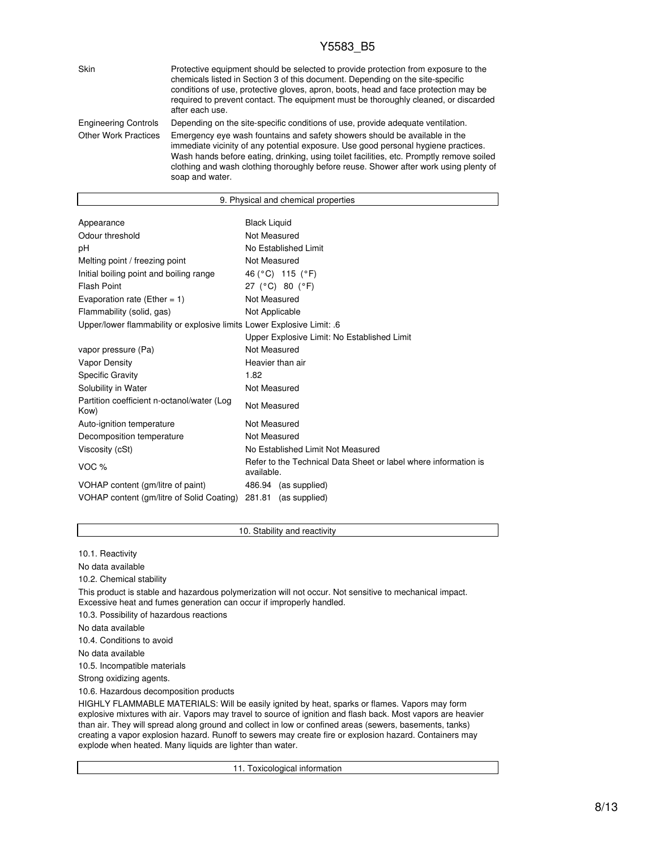# Y5583\_B5

| <b>Skin</b>                 | Protective equipment should be selected to provide protection from exposure to the<br>chemicals listed in Section 3 of this document. Depending on the site-specific<br>conditions of use, protective gloves, apron, boots, head and face protection may be<br>required to prevent contact. The equipment must be thoroughly cleaned, or discarded<br>after each use.    |
|-----------------------------|--------------------------------------------------------------------------------------------------------------------------------------------------------------------------------------------------------------------------------------------------------------------------------------------------------------------------------------------------------------------------|
| <b>Engineering Controls</b> | Depending on the site-specific conditions of use, provide adequate ventilation.                                                                                                                                                                                                                                                                                          |
| <b>Other Work Practices</b> | Emergency eye wash fountains and safety showers should be available in the<br>immediate vicinity of any potential exposure. Use good personal hygiene practices.<br>Wash hands before eating, drinking, using toilet facilities, etc. Promptly remove soiled<br>clothing and wash clothing thoroughly before reuse. Shower after work using plenty of<br>soap and water. |

| 9. Physical and chemical properties                                           |  |  |
|-------------------------------------------------------------------------------|--|--|
|                                                                               |  |  |
| <b>Black Liquid</b>                                                           |  |  |
| Not Measured                                                                  |  |  |
| No Established Limit                                                          |  |  |
| Not Measured                                                                  |  |  |
| 46 (°C) 115 (°F)                                                              |  |  |
| 27 (°C) 80 (°F)                                                               |  |  |
| Not Measured                                                                  |  |  |
| Not Applicable                                                                |  |  |
| Upper/lower flammability or explosive limits Lower Explosive Limit: .6        |  |  |
| Upper Explosive Limit: No Established Limit                                   |  |  |
| Not Measured                                                                  |  |  |
| Heavier than air                                                              |  |  |
| 1.82                                                                          |  |  |
| Not Measured                                                                  |  |  |
| Not Measured                                                                  |  |  |
| Not Measured                                                                  |  |  |
| Not Measured                                                                  |  |  |
| No Established Limit Not Measured                                             |  |  |
| Refer to the Technical Data Sheet or label where information is<br>available. |  |  |
| 486.94 (as supplied)                                                          |  |  |
| VOHAP content (gm/litre of Solid Coating)<br>(as supplied)<br>281.81          |  |  |
|                                                                               |  |  |

# 10. Stability and reactivity

10.1. Reactivity

No data available

10.2. Chemical stability This product is stable and hazardous polymerization will not occur. Not sensitive to mechanical impact. Excessive heat and fumes generation can occur if improperly handled. 10.3. Possibility of hazardous reactions No data available 10.4. Conditions to avoid

No data available

10.5. Incompatible materials

Strong oxidizing agents.

10.6. Hazardous decomposition products

HIGHLY FLAMMABLE MATERIALS: Will be easily ignited by heat, sparks or flames. Vapors may form explosive mixtures with air. Vapors may travel to source of ignition and flash back. Most vapors are heavier than air. They will spread along ground and collect in low or confined areas (sewers, basements, tanks) creating a vapor explosion hazard. Runoff to sewers may create fire or explosion hazard. Containers may explode when heated. Many liquids are lighter than water.

11. Toxicological information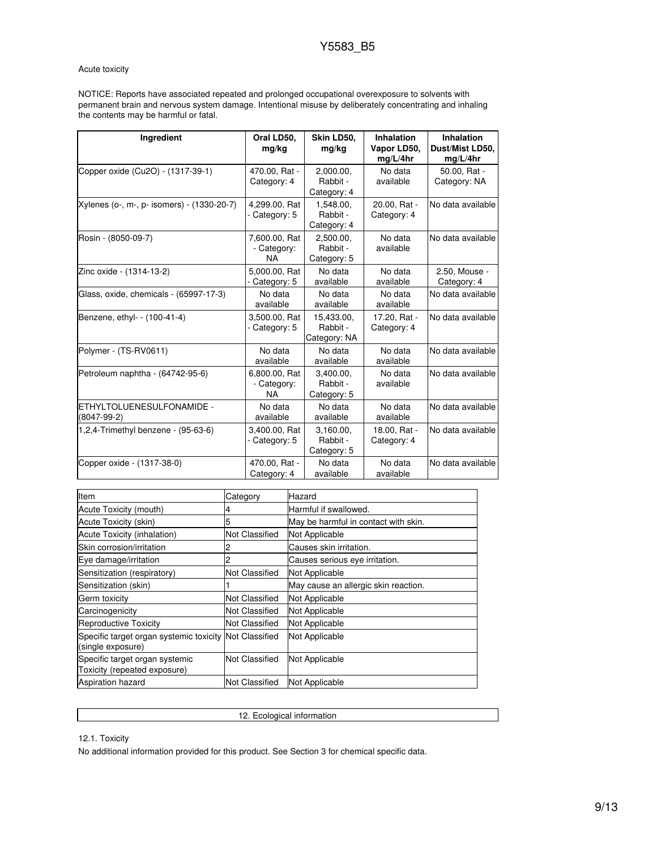# Acute toxicity

NOTICE: Reports have associated repeated and prolonged occupational overexposure to solvents with permanent brain and nervous system damage. Intentional misuse by deliberately concentrating and inhaling the contents may be harmful or fatal.

| Ingredient                                 | Oral LD50.<br>mg/kg                       | Skin LD50.<br>mg/kg                    | <b>Inhalation</b><br>Vapor LD50,<br>mg/L/4hr | <b>Inhalation</b><br>Dust/Mist LD50,<br>mg/L/4hr |
|--------------------------------------------|-------------------------------------------|----------------------------------------|----------------------------------------------|--------------------------------------------------|
| Copper oxide (Cu2O) - (1317-39-1)          | 470.00, Rat -<br>Category: 4              | 2,000.00,<br>Rabbit -<br>Category: 4   | No data<br>available                         | 50.00, Rat -<br>Category: NA                     |
| Xylenes (o-, m-, p- isomers) - (1330-20-7) | 4,299.00, Rat<br>- Category: 5            | 1,548.00,<br>Rabbit -<br>Category: 4   | 20.00, Rat -<br>Category: 4                  | No data available                                |
| Rosin - (8050-09-7)                        | 7,600.00, Rat<br>- Category:<br><b>NA</b> | 2,500.00,<br>Rabbit -<br>Category: 5   | No data<br>available                         | No data available                                |
| Zinc oxide - (1314-13-2)                   | 5.000.00. Rat<br>- Category: 5            | No data<br>available                   | No data<br>available                         | 2.50, Mouse -<br>Category: 4                     |
| Glass, oxide, chemicals - (65997-17-3)     | No data<br>available                      | No data<br>available                   | No data<br>available                         | No data available                                |
| Benzene, ethyl- - (100-41-4)               | 3,500.00, Rat<br>- Category: 5            | 15,433.00,<br>Rabbit -<br>Category: NA | 17.20, Rat -<br>Category: 4                  | No data available                                |
| Polymer - (TS-RV0611)                      | No data<br>available                      | No data<br>available                   | No data<br>available                         | No data available                                |
| Petroleum naphtha - (64742-95-6)           | 6,800.00, Rat<br>- Category:<br><b>NA</b> | 3,400.00,<br>Rabbit -<br>Category: 5   | No data<br>available                         | No data available                                |
| ETHYLTOLUENESULFONAMIDE -<br>$(8047-99-2)$ | No data<br>available                      | No data<br>available                   | No data<br>available                         | No data available                                |
| 1,2,4-Trimethyl benzene - (95-63-6)        | 3.400.00. Rat<br>- Category: 5            | 3.160.00.<br>Rabbit -<br>Category: 5   | 18.00. Rat -<br>Category: 4                  | No data available                                |
| Copper oxide - (1317-38-0)                 | 470.00, Rat -<br>Category: 4              | No data<br>available                   | No data<br>available                         | No data available                                |

| Item                                                                        | Category              | Hazard                               |
|-----------------------------------------------------------------------------|-----------------------|--------------------------------------|
| Acute Toxicity (mouth)                                                      |                       | Harmful if swallowed.                |
| Acute Toxicity (skin)                                                       |                       | May be harmful in contact with skin. |
| Acute Toxicity (inhalation)                                                 | Not Classified        | Not Applicable                       |
| Skin corrosion/irritation                                                   |                       | Causes skin irritation.              |
| Eye damage/irritation                                                       |                       | Causes serious eye irritation.       |
| Sensitization (respiratory)                                                 | <b>Not Classified</b> | Not Applicable                       |
| Sensitization (skin)                                                        |                       | May cause an allergic skin reaction. |
| Germ toxicity                                                               | <b>Not Classified</b> | Not Applicable                       |
| Carcinogenicity                                                             | Not Classified        | Not Applicable                       |
| <b>Reproductive Toxicity</b>                                                | <b>Not Classified</b> | Not Applicable                       |
| Specific target organ systemic toxicity Not Classified<br>(single exposure) |                       | Not Applicable                       |
| Specific target organ systemic<br>Toxicity (repeated exposure)              | <b>Not Classified</b> | Not Applicable                       |
| <b>Aspiration hazard</b>                                                    | Not Classified        | Not Applicable                       |

12. Ecological information

12.1. Toxicity

No additional information provided for this product. See Section 3 for chemical specific data.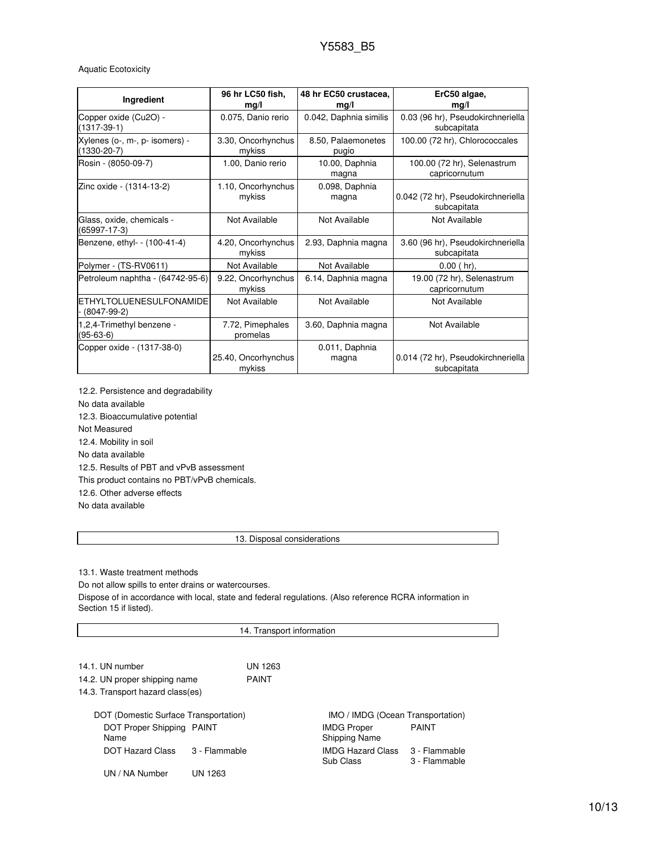# Aquatic Ecotoxicity

| Ingredient                                       | 96 hr LC50 fish,<br>mg/l      | 48 hr EC50 crustacea,<br>mg/l | ErC50 algae,<br>mg/l                              |
|--------------------------------------------------|-------------------------------|-------------------------------|---------------------------------------------------|
| Copper oxide (Cu2O) -<br>$(1317-39-1)$           | 0.075, Danio rerio            | 0.042, Daphnia similis        | 0.03 (96 hr), Pseudokirchneriella<br>subcapitata  |
| Xylenes (o-, m-, p- isomers) -<br>$(1330-20-7)$  | 3.30, Oncorhynchus<br>mykiss  | 8.50, Palaemonetes<br>pugio   | 100.00 (72 hr), Chlorococcales                    |
| Rosin - (8050-09-7)                              | 1.00, Danio rerio             | 10.00, Daphnia<br>magna       | 100.00 (72 hr), Selenastrum<br>capricornutum      |
| Zinc oxide - (1314-13-2)                         | 1.10, Oncorhynchus<br>mykiss  | 0.098, Daphnia<br>magna       | 0.042 (72 hr), Pseudokirchneriella<br>subcapitata |
| Glass, oxide, chemicals -<br>$(65997-17-3)$      | Not Available                 | Not Available                 | Not Available                                     |
| Benzene, ethyl- - (100-41-4)                     | 4.20, Oncorhynchus<br>mykiss  | 2.93, Daphnia magna           | 3.60 (96 hr), Pseudokirchneriella<br>subcapitata  |
| Polymer - (TS-RV0611)                            | Not Available                 | Not Available                 | $0.00$ (hr),                                      |
| Petroleum naphtha - (64742-95-6)                 | 9.22, Oncorhynchus<br>mykiss  | 6.14, Daphnia magna           | 19.00 (72 hr), Selenastrum<br>capricornutum       |
| <b>IETHYLTOLUENESULFONAMIDE</b><br>$(8047-99-2)$ | Not Available                 | Not Available                 | Not Available                                     |
| 1,2,4-Trimethyl benzene -<br>$(95-63-6)$         | 7.72, Pimephales<br>promelas  | 3.60, Daphnia magna           | Not Available                                     |
| Copper oxide - (1317-38-0)                       | 25.40, Oncorhynchus<br>mykiss | 0.011, Daphnia<br>magna       | 0.014 (72 hr), Pseudokirchneriella<br>subcapitata |

12.2. Persistence and degradability No data available 12.3. Bioaccumulative potential Not Measured 12.4. Mobility in soil No data available 12.5. Results of PBT and vPvB assessment This product contains no PBT/vPvB chemicals. 12.6. Other adverse effects No data available

### 13. Disposal considerations

13.1. Waste treatment methods

Do not allow spills to enter drains or watercourses.

Dispose of in accordance with local, state and federal regulations. (Also reference RCRA information in Section 15 if listed).

### 14. Transport information

| 14.1. UN number                       |               | UN 1263      |                                            |                                |
|---------------------------------------|---------------|--------------|--------------------------------------------|--------------------------------|
| 14.2. UN proper shipping name         |               | <b>PAINT</b> |                                            |                                |
| 14.3. Transport hazard class(es)      |               |              |                                            |                                |
| DOT (Domestic Surface Transportation) |               |              | IMO / IMDG (Ocean Transportation)          |                                |
| DOT Proper Shipping PAINT<br>Name     |               |              | <b>IMDG Proper</b><br><b>Shipping Name</b> | <b>PAINT</b>                   |
| <b>DOT Hazard Class</b>               | 3 - Flammable |              | <b>IMDG Hazard Class</b><br>Sub Class      | 3 - Flammable<br>3 - Flammable |
| UN / NA Number                        | UN 1263       |              |                                            |                                |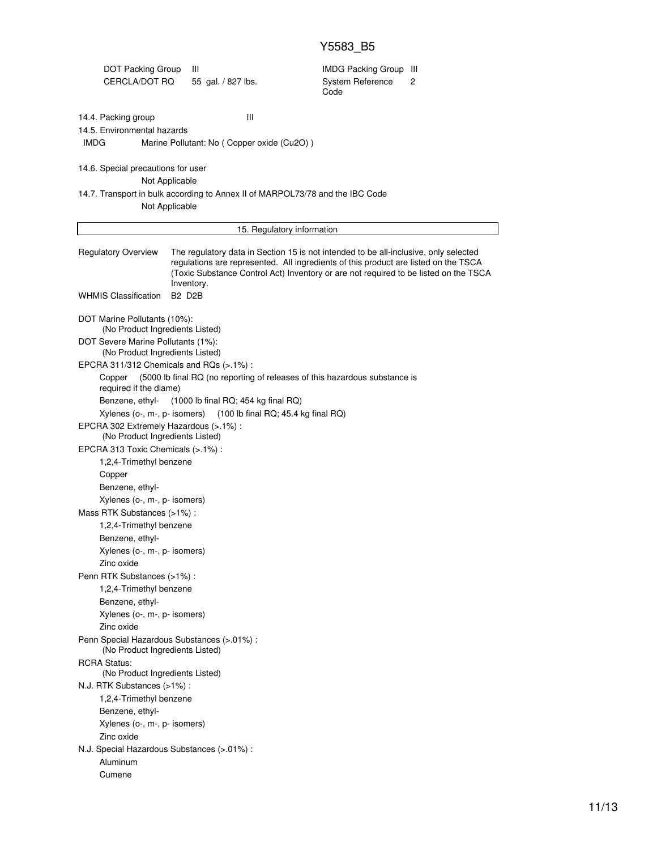# Y5583\_B5

| DOT Packing Group<br>CERCLA/DOT RQ                                                                        | Ш<br>55 gal. / 827 lbs.                         | <b>IMDG Packing Group III</b><br>System Reference<br>Code                                                                                                                                                                                                           | 2 |
|-----------------------------------------------------------------------------------------------------------|-------------------------------------------------|---------------------------------------------------------------------------------------------------------------------------------------------------------------------------------------------------------------------------------------------------------------------|---|
| 14.4. Packing group<br>14.5. Environmental hazards<br>IMDG                                                | Ш<br>Marine Pollutant: No (Copper oxide (Cu2O)) |                                                                                                                                                                                                                                                                     |   |
| 14.6. Special precautions for user                                                                        |                                                 |                                                                                                                                                                                                                                                                     |   |
| Not Applicable                                                                                            |                                                 |                                                                                                                                                                                                                                                                     |   |
| Not Applicable                                                                                            |                                                 | 14.7. Transport in bulk according to Annex II of MARPOL73/78 and the IBC Code                                                                                                                                                                                       |   |
|                                                                                                           |                                                 | 15. Regulatory information                                                                                                                                                                                                                                          |   |
| <b>Regulatory Overview</b>                                                                                | Inventory.                                      | The regulatory data in Section 15 is not intended to be all-inclusive, only selected<br>regulations are represented. All ingredients of this product are listed on the TSCA<br>(Toxic Substance Control Act) Inventory or are not required to be listed on the TSCA |   |
| <b>WHMIS Classification</b>                                                                               | <b>B2 D2B</b>                                   |                                                                                                                                                                                                                                                                     |   |
| DOT Marine Pollutants (10%):<br>(No Product Ingredients Listed)                                           |                                                 |                                                                                                                                                                                                                                                                     |   |
| DOT Severe Marine Pollutants (1%):<br>(No Product Ingredients Listed)                                     |                                                 |                                                                                                                                                                                                                                                                     |   |
| EPCRA 311/312 Chemicals and RQs (>.1%):                                                                   |                                                 |                                                                                                                                                                                                                                                                     |   |
| Copper<br>required if the diame)<br>Benzene, ethyl-                                                       | $(1000$ lb final RQ; 454 kg final RQ)           | (5000 lb final RQ (no reporting of releases of this hazardous substance is                                                                                                                                                                                          |   |
| Xylenes (o-, m-, p- isomers)<br>EPCRA 302 Extremely Hazardous (>.1%) :<br>(No Product Ingredients Listed) |                                                 | $(100$ lb final RQ; 45.4 kg final RQ)                                                                                                                                                                                                                               |   |
| EPCRA 313 Toxic Chemicals (>.1%) :                                                                        |                                                 |                                                                                                                                                                                                                                                                     |   |
| 1,2,4-Trimethyl benzene                                                                                   |                                                 |                                                                                                                                                                                                                                                                     |   |
| Copper                                                                                                    |                                                 |                                                                                                                                                                                                                                                                     |   |
| Benzene, ethyl-                                                                                           |                                                 |                                                                                                                                                                                                                                                                     |   |
| Xylenes (o-, m-, p- isomers)                                                                              |                                                 |                                                                                                                                                                                                                                                                     |   |
| Mass RTK Substances (>1%):                                                                                |                                                 |                                                                                                                                                                                                                                                                     |   |
| 1,2,4-Trimethyl benzene                                                                                   |                                                 |                                                                                                                                                                                                                                                                     |   |
| Benzene, ethyl-                                                                                           |                                                 |                                                                                                                                                                                                                                                                     |   |
| Xylenes (o-, m-, p- isomers)                                                                              |                                                 |                                                                                                                                                                                                                                                                     |   |
| Zinc oxide                                                                                                |                                                 |                                                                                                                                                                                                                                                                     |   |
| Penn RTK Substances (>1%) :                                                                               |                                                 |                                                                                                                                                                                                                                                                     |   |
| 1,2,4-Trimethyl benzene                                                                                   |                                                 |                                                                                                                                                                                                                                                                     |   |
| Benzene, ethyl-                                                                                           |                                                 |                                                                                                                                                                                                                                                                     |   |
| Xylenes (o-, m-, p- isomers)                                                                              |                                                 |                                                                                                                                                                                                                                                                     |   |
| Zinc oxide                                                                                                |                                                 |                                                                                                                                                                                                                                                                     |   |
| Penn Special Hazardous Substances (>.01%) :<br>(No Product Ingredients Listed)                            |                                                 |                                                                                                                                                                                                                                                                     |   |
| <b>RCRA Status:</b><br>(No Product Ingredients Listed)                                                    |                                                 |                                                                                                                                                                                                                                                                     |   |
| N.J. RTK Substances (>1%):                                                                                |                                                 |                                                                                                                                                                                                                                                                     |   |
| 1,2,4-Trimethyl benzene                                                                                   |                                                 |                                                                                                                                                                                                                                                                     |   |
| Benzene, ethyl-                                                                                           |                                                 |                                                                                                                                                                                                                                                                     |   |
| Xylenes (o-, m-, p- isomers)                                                                              |                                                 |                                                                                                                                                                                                                                                                     |   |
| Zinc oxide                                                                                                |                                                 |                                                                                                                                                                                                                                                                     |   |
| N.J. Special Hazardous Substances (>.01%) :                                                               |                                                 |                                                                                                                                                                                                                                                                     |   |
| Aluminum                                                                                                  |                                                 |                                                                                                                                                                                                                                                                     |   |
| Cumene                                                                                                    |                                                 |                                                                                                                                                                                                                                                                     |   |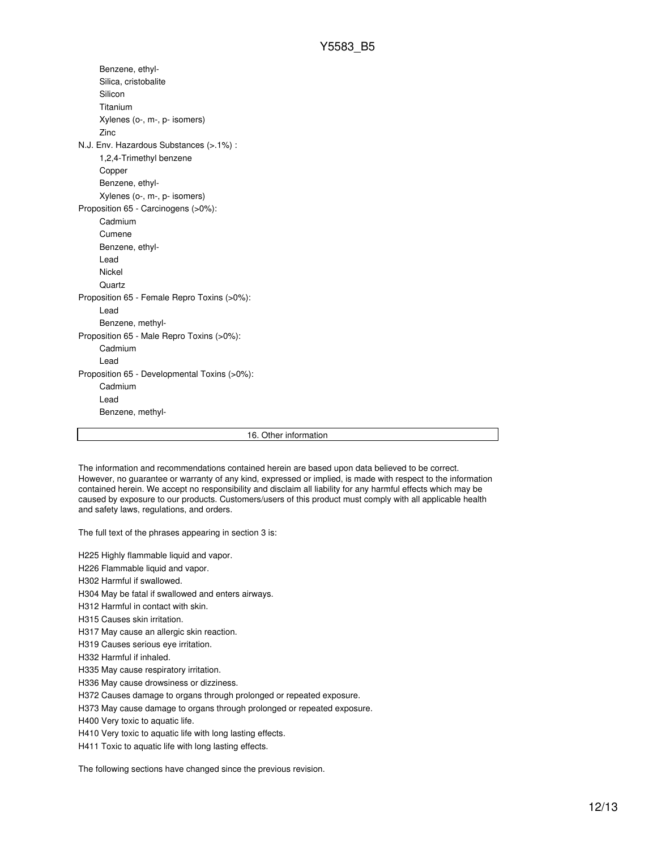Benzene, ethyl-Silica, cristobalite Silicon Titanium Xylenes (o-, m-, p- isomers) Zinc N.J. Env. Hazardous Substances (>.1%) : 1,2,4-Trimethyl benzene Copper Benzene, ethyl-Xylenes (o-, m-, p- isomers) Proposition 65 - Carcinogens (>0%): Cadmium Cumene Benzene, ethyl-Lead Nickel **Quartz** Proposition 65 - Female Repro Toxins (>0%): Lead Benzene, methyl-Proposition 65 - Male Repro Toxins (>0%): Cadmium Lead Proposition 65 - Developmental Toxins (>0%): Cadmium Lead Benzene, methyl-

16. Other information

The information and recommendations contained herein are based upon data believed to be correct. However, no guarantee or warranty of any kind, expressed or implied, is made with respect to the information contained herein. We accept no responsibility and disclaim all liability for any harmful effects which may be caused by exposure to our products. Customers/users of this product must comply with all applicable health and safety laws, regulations, and orders.

The full text of the phrases appearing in section 3 is:

H225 Highly flammable liquid and vapor.

H226 Flammable liquid and vapor.

H302 Harmful if swallowed.

H304 May be fatal if swallowed and enters airways.

H312 Harmful in contact with skin.

H315 Causes skin irritation.

H317 May cause an allergic skin reaction.

H319 Causes serious eye irritation.

H332 Harmful if inhaled.

H335 May cause respiratory irritation.

H336 May cause drowsiness or dizziness.

H372 Causes damage to organs through prolonged or repeated exposure.

H373 May cause damage to organs through prolonged or repeated exposure.

H400 Very toxic to aquatic life.

H410 Very toxic to aquatic life with long lasting effects.

H411 Toxic to aquatic life with long lasting effects.

The following sections have changed since the previous revision.